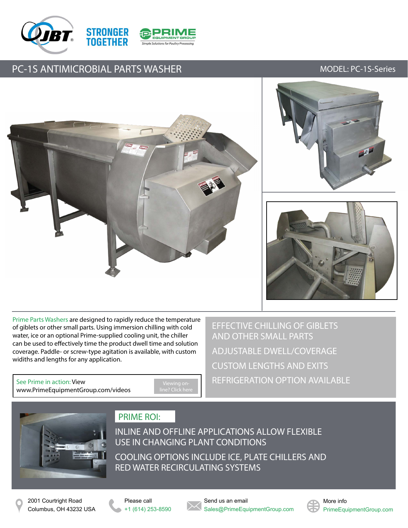



## PC-1S ANTIMICROBIAL PARTS WASHER MODEL: PC-1S-Series







Prime Parts Washers are designed to rapidly reduce the temperature of giblets or other small parts. Using immersion chilling with cold water, ice or an optional Prime-supplied cooling unit, the chiller can be used to effectively time the product dwell time and solution coverage. Paddle- or screw-type agitation is available, with custom widiths and lengths for any application.

See Prime in action: View [www.PrimeEquipmentGroup.com/videos](http://www.primeequipmentgroup.com/videos)

EFFECTIVE CHILLING OF GIBLETS AND OTHER SMALL PARTS ADJUSTABLE DWELL/COVERAGE CUSTOM LENGTHS AND EXITS REFRIGERATION OPTION AVAILABLE



### PRIME ROI:

INLINE AND OFFLINE APPLICATIONS ALLOW FLEXIBLE USE IN CHANGING PLANT CONDITIONS COOLING OPTIONS INCLUDE ICE, PLATE CHILLERS AND RED WATER RECIRCULATING SYSTEMS

Please call +1 (614) 253-8590 Send us an email Sales@PrimeEquipmentGroup.com